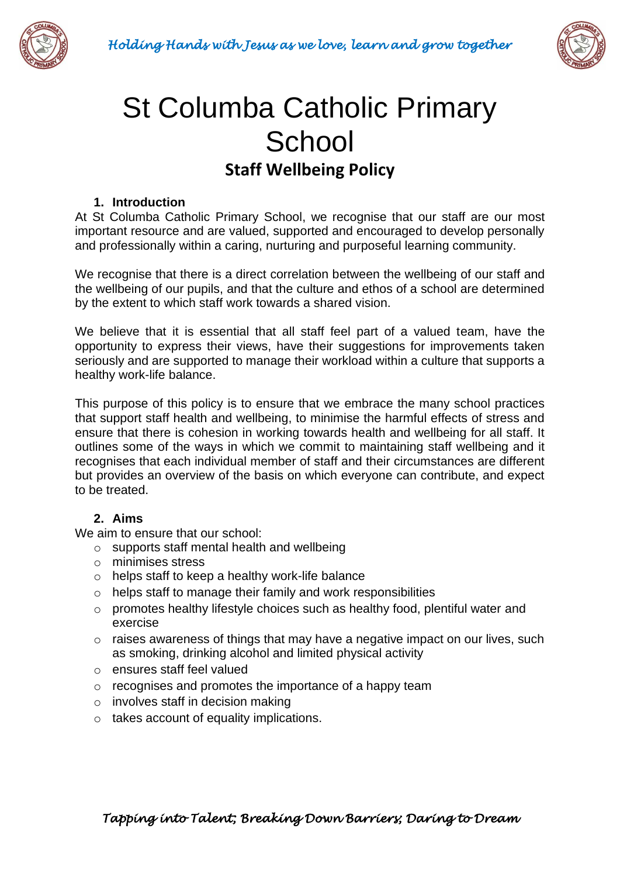



# St Columba Catholic Primary **School Staff Wellbeing Policy**

#### **1. Introduction**

At St Columba Catholic Primary School, we recognise that our staff are our most important resource and are valued, supported and encouraged to develop personally and professionally within a caring, nurturing and purposeful learning community.

We recognise that there is a direct correlation between the wellbeing of our staff and the wellbeing of our pupils, and that the culture and ethos of a school are determined by the extent to which staff work towards a shared vision.

We believe that it is essential that all staff feel part of a valued team, have the opportunity to express their views, have their suggestions for improvements taken seriously and are supported to manage their workload within a culture that supports a healthy work-life balance.

This purpose of this policy is to ensure that we embrace the many school practices that support staff health and wellbeing, to minimise the harmful effects of stress and ensure that there is cohesion in working towards health and wellbeing for all staff. It outlines some of the ways in which we commit to maintaining staff wellbeing and it recognises that each individual member of staff and their circumstances are different but provides an overview of the basis on which everyone can contribute, and expect to be treated.

### **2. Aims**

We aim to ensure that our school:

- o supports staff mental health and wellbeing
- o minimises stress
- o helps staff to keep a healthy work-life balance
- o helps staff to manage their family and work responsibilities
- o promotes healthy lifestyle choices such as healthy food, plentiful water and exercise
- o raises awareness of things that may have a negative impact on our lives, such as smoking, drinking alcohol and limited physical activity
- o ensures staff feel valued
- o recognises and promotes the importance of a happy team
- $\circ$  involves staff in decision making
- o takes account of equality implications.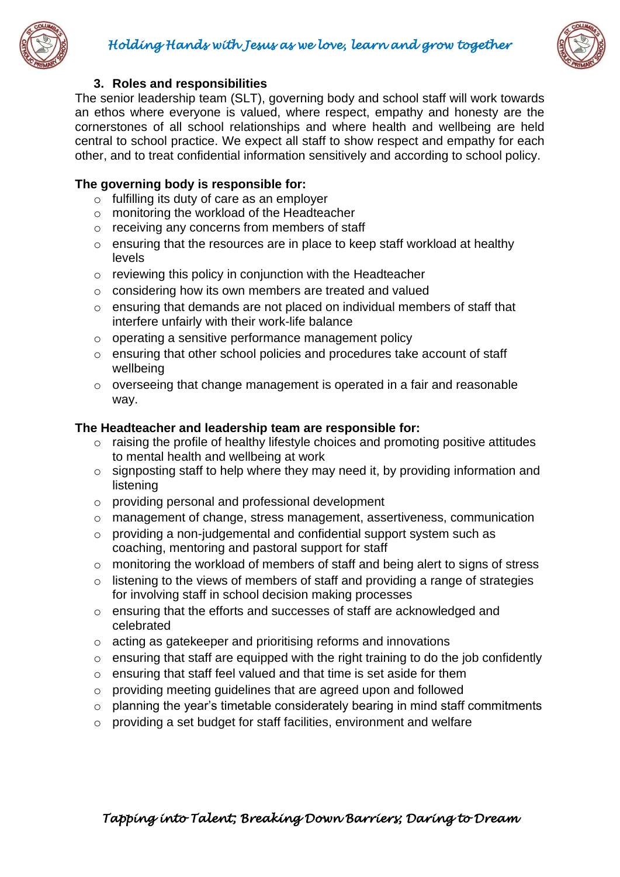



#### **3. Roles and responsibilities**

The senior leadership team (SLT), governing body and school staff will work towards an ethos where everyone is valued, where respect, empathy and honesty are the cornerstones of all school relationships and where health and wellbeing are held central to school practice. We expect all staff to show respect and empathy for each other, and to treat confidential information sensitively and according to school policy.

### **The governing body is responsible for:**

- o fulfilling its duty of care as an employer
- o monitoring the workload of the Headteacher
- o receiving any concerns from members of staff
- o ensuring that the resources are in place to keep staff workload at healthy levels
- o reviewing this policy in conjunction with the Headteacher
- o considering how its own members are treated and valued
- o ensuring that demands are not placed on individual members of staff that interfere unfairly with their work-life balance
- o operating a sensitive performance management policy
- o ensuring that other school policies and procedures take account of staff wellbeing
- o overseeing that change management is operated in a fair and reasonable way.

#### **The Headteacher and leadership team are responsible for:**

- o raising the profile of healthy lifestyle choices and promoting positive attitudes to mental health and wellbeing at work
- o signposting staff to help where they may need it, by providing information and listening
- o providing personal and professional development
- o management of change, stress management, assertiveness, communication
- o providing a non-judgemental and confidential support system such as coaching, mentoring and pastoral support for staff
- o monitoring the workload of members of staff and being alert to signs of stress
- $\circ$  listening to the views of members of staff and providing a range of strategies for involving staff in school decision making processes
- o ensuring that the efforts and successes of staff are acknowledged and celebrated
- o acting as gatekeeper and prioritising reforms and innovations
- $\circ$  ensuring that staff are equipped with the right training to do the job confidently
- o ensuring that staff feel valued and that time is set aside for them
- o providing meeting guidelines that are agreed upon and followed
- $\circ$  planning the year's timetable considerately bearing in mind staff commitments
- o providing a set budget for staff facilities, environment and welfare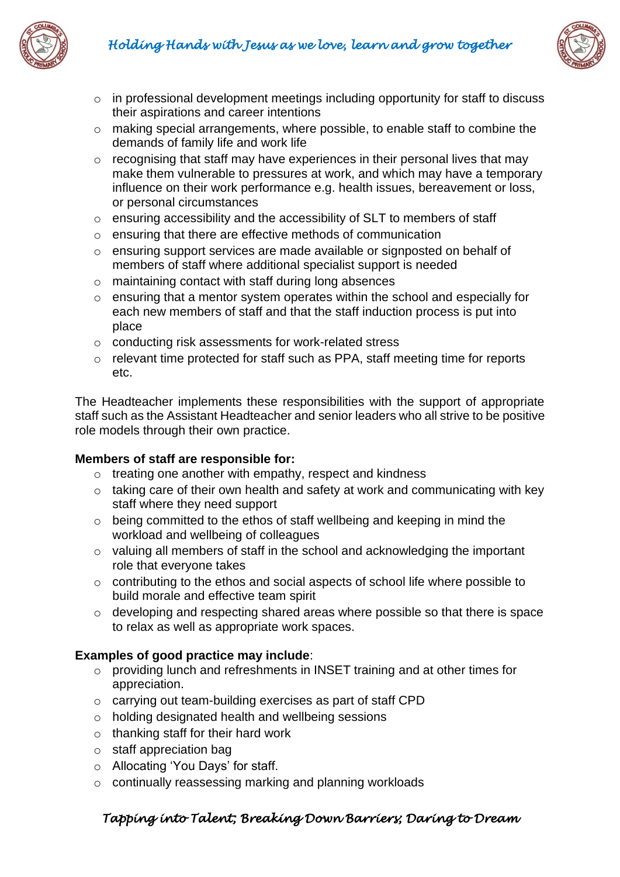



- o in professional development meetings including opportunity for staff to discuss their aspirations and career intentions
- o making special arrangements, where possible, to enable staff to combine the demands of family life and work life
- $\circ$  recognising that staff may have experiences in their personal lives that may make them vulnerable to pressures at work, and which may have a temporary influence on their work performance e.g. health issues, bereavement or loss, or personal circumstances
- o ensuring accessibility and the accessibility of SLT to members of staff
- o ensuring that there are effective methods of communication
- o ensuring support services are made available or signposted on behalf of members of staff where additional specialist support is needed
- o maintaining contact with staff during long absences
- o ensuring that a mentor system operates within the school and especially for each new members of staff and that the staff induction process is put into place
- o conducting risk assessments for work-related stress
- o relevant time protected for staff such as PPA, staff meeting time for reports etc.

The Headteacher implements these responsibilities with the support of appropriate staff such as the Assistant Headteacher and senior leaders who all strive to be positive role models through their own practice.

## **Members of staff are responsible for:**

- o treating one another with empathy, respect and kindness
- $\circ$  taking care of their own health and safety at work and communicating with key staff where they need support
- o being committed to the ethos of staff wellbeing and keeping in mind the workload and wellbeing of colleagues
- o valuing all members of staff in the school and acknowledging the important role that everyone takes
- o contributing to the ethos and social aspects of school life where possible to build morale and effective team spirit
- o developing and respecting shared areas where possible so that there is space to relax as well as appropriate work spaces.

## **Examples of good practice may include**:

- o providing lunch and refreshments in INSET training and at other times for appreciation.
- o carrying out team-building exercises as part of staff CPD
- o holding designated health and wellbeing sessions
- $\circ$  thanking staff for their hard work
- o staff appreciation bag
- o Allocating 'You Days' for staff.
- o continually reassessing marking and planning workloads

## *Tapping into Talent; Breaking Down Barriers; Daring to Dream*